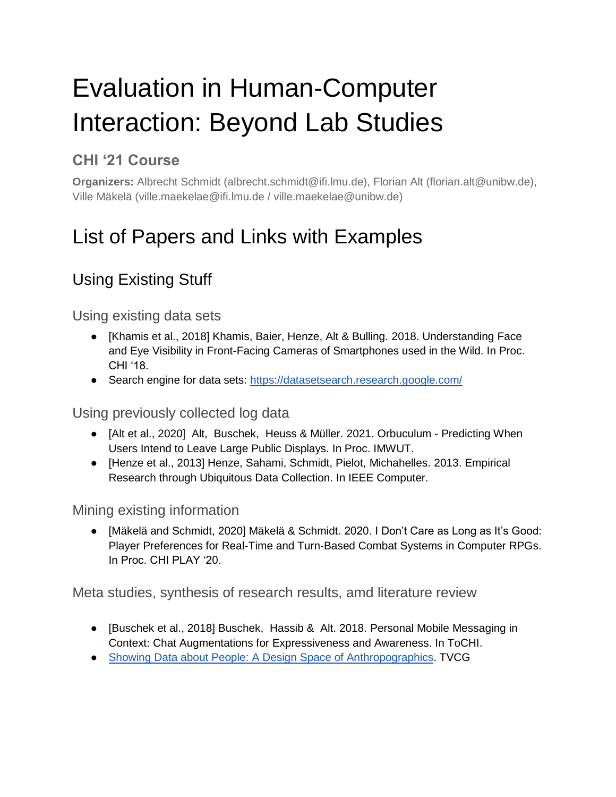# Evaluation in Human-Computer Interaction: Beyond Lab Studies

## **CHI '21 Course**

**Organizers:** Albrecht Schmidt (albrecht.schmidt@ifi.lmu.de), Florian Alt (florian.alt@unibw.de), Ville Mäkelä (ville.maekelae@ifi.lmu.de / ville.maekelae@unibw.de)

## List of Papers and Links with Examples

## Using Existing Stuff

#### Using existing data sets

- [Khamis et al., 2018] Khamis, Baier, Henze, Alt & Bulling. 2018. Understanding Face and Eye Visibility in Front-Facing Cameras of Smartphones used in the Wild. In Proc. CHI '18.
- Search engine for data sets:<https://datasetsearch.research.google.com/>

Using previously collected log data

- [Alt et al., 2020] Alt, Buschek, Heuss & Müller. 2021. Orbuculum Predicting When Users Intend to Leave Large Public Displays. In Proc. IMWUT.
- [Henze et al., 2013] Henze, Sahami, Schmidt, Pielot, Michahelles. 2013. Empirical Research through Ubiquitous Data Collection. In IEEE Computer.

#### Mining existing information

● [Mäkelä and Schmidt, 2020] Mäkelä & Schmidt. 2020. I Don't Care as Long as It's Good: Player Preferences for Real-Time and Turn-Based Combat Systems in Computer RPGs. In Proc. CHI PLAY '20.

Meta studies, synthesis of research results, amd literature review

- [Buschek et al., 2018] Buschek, Hassib & Alt. 2018. Personal Mobile Messaging in Context: Chat Augmentations for Expressiveness and Awareness. In ToCHI.
- [Showing Data about People: A Design Space of Anthropographics.](https://hal.archives-ouvertes.fr/hal-02931257/document) TVCG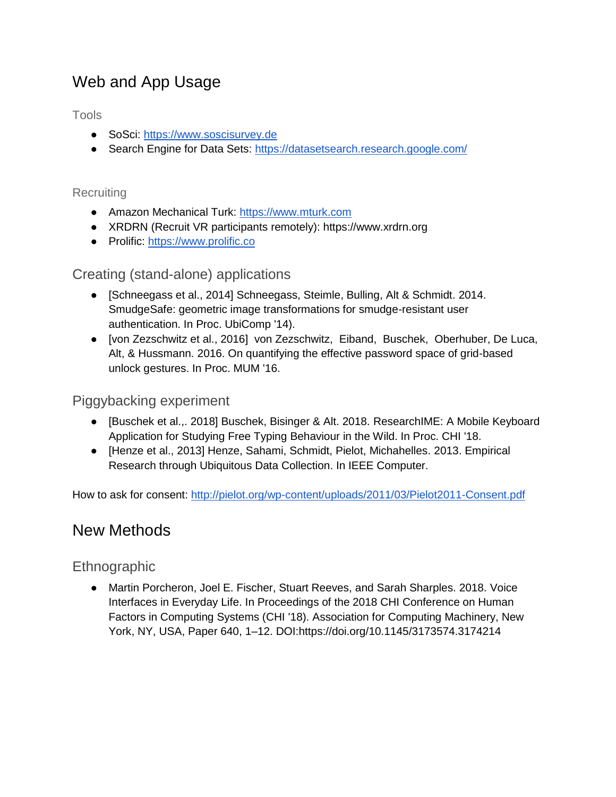## Web and App Usage

Tools

- SoSci: [https://www.soscisurvey.de](https://www.soscisurvey.de/)
- Search Engine for Data Sets:<https://datasetsearch.research.google.com/>

#### **Recruiting**

- Amazon Mechanical Turk: [https://www.mturk.com](https://www.mturk.com/)
- XRDRN (Recruit VR participants remotely): https://www.xrdrn.org
- Prolific: [https://www.prolific.co](https://www.prolific.co/)

#### Creating (stand-alone) applications

- [Schneegass et al., 2014] Schneegass, Steimle, Bulling, Alt & Schmidt. 2014. SmudgeSafe: geometric image transformations for smudge-resistant user authentication. In Proc. UbiComp '14).
- [von Zezschwitz et al., 2016] von Zezschwitz, Eiband, Buschek, Oberhuber, De Luca, Alt, & Hussmann. 2016. On quantifying the effective password space of grid-based unlock gestures. In Proc. MUM '16.

#### Piggybacking experiment

- [Buschek et al.,. 2018] Buschek, Bisinger & Alt. 2018. ResearchIME: A Mobile Keyboard Application for Studying Free Typing Behaviour in the Wild. In Proc. CHI '18.
- [Henze et al., 2013] Henze, Sahami, Schmidt, Pielot, Michahelles. 2013. Empirical Research through Ubiquitous Data Collection. In IEEE Computer.

How to ask for consent:<http://pielot.org/wp-content/uploads/2011/03/Pielot2011-Consent.pdf>

### New Methods

#### **Ethnographic**

● Martin Porcheron, Joel E. Fischer, Stuart Reeves, and Sarah Sharples. 2018. Voice Interfaces in Everyday Life. In Proceedings of the 2018 CHI Conference on Human Factors in Computing Systems (CHI '18). Association for Computing Machinery, New York, NY, USA, Paper 640, 1–12. DOI:https://doi.org/10.1145/3173574.3174214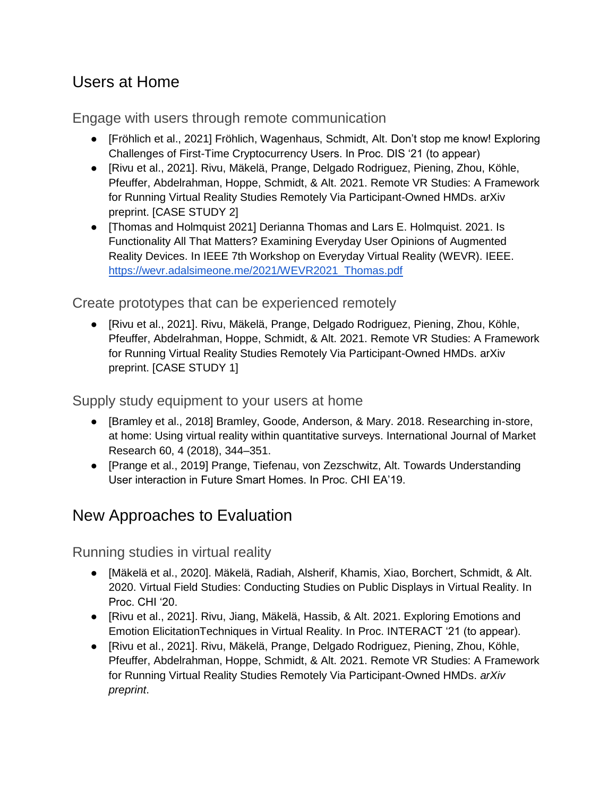## Users at Home

Engage with users through remote communication

- [Fröhlich et al., 2021] Fröhlich, Wagenhaus, Schmidt, Alt. Don't stop me know! Exploring Challenges of First-Time Cryptocurrency Users. In Proc. DIS '21 (to appear)
- [Rivu et al., 2021]. Rivu, Mäkelä, Prange, Delgado Rodriguez, Piening, Zhou, Köhle, Pfeuffer, Abdelrahman, Hoppe, Schmidt, & Alt. 2021. Remote VR Studies: A Framework for Running Virtual Reality Studies Remotely Via Participant-Owned HMDs. arXiv preprint. [CASE STUDY 2]
- [Thomas and Holmquist 2021] Derianna Thomas and Lars E. Holmquist. 2021. Is Functionality All That Matters? Examining Everyday User Opinions of Augmented Reality Devices. In IEEE 7th Workshop on Everyday Virtual Reality (WEVR). IEEE. [https://wevr.adalsimeone.me/2021/WEVR2021\\_Thomas.pdf](https://wevr.adalsimeone.me/2021/WEVR2021_Thomas.pdf)

Create prototypes that can be experienced remotely

● [Rivu et al., 2021]. Rivu, Mäkelä, Prange, Delgado Rodriguez, Piening, Zhou, Köhle, Pfeuffer, Abdelrahman, Hoppe, Schmidt, & Alt. 2021. Remote VR Studies: A Framework for Running Virtual Reality Studies Remotely Via Participant-Owned HMDs. arXiv preprint. [CASE STUDY 1]

Supply study equipment to your users at home

- [Bramley et al., 2018] Bramley, Goode, Anderson, & Mary. 2018. Researching in-store, at home: Using virtual reality within quantitative surveys. International Journal of Market Research 60, 4 (2018), 344–351.
- [Prange et al., 2019] Prange, Tiefenau, von Zezschwitz, Alt. Towards Understanding User interaction in Future Smart Homes. In Proc. CHI EA'19.

## New Approaches to Evaluation

Running studies in virtual reality

- [Mäkelä et al., 2020]. Mäkelä, Radiah, Alsherif, Khamis, Xiao, Borchert, Schmidt, & Alt. 2020. Virtual Field Studies: Conducting Studies on Public Displays in Virtual Reality. In Proc. CHI '20.
- [Rivu et al., 2021]. Rivu, Jiang, Mäkelä, Hassib, & Alt. 2021. Exploring Emotions and Emotion ElicitationTechniques in Virtual Reality. In Proc. INTERACT '21 (to appear).
- [Rivu et al., 2021]. Rivu, Mäkelä, Prange, Delgado Rodriguez, Piening, Zhou, Köhle, Pfeuffer, Abdelrahman, Hoppe, Schmidt, & Alt. 2021. Remote VR Studies: A Framework for Running Virtual Reality Studies Remotely Via Participant-Owned HMDs. *arXiv preprint*.